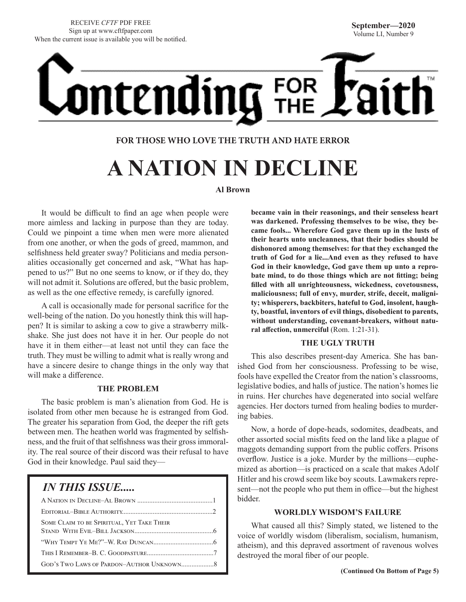<u>ntending</u> FOR

#### **FOR THOSE WHO LOVE THE TRUTH AND HATE ERROR**

# **A NATION IN DECLINE**

#### **Al Brown**

It would be difficult to find an age when people were more aimless and lacking in purpose than they are today. Could we pinpoint a time when men were more alienated from one another, or when the gods of greed, mammon, and selfishness held greater sway? Politicians and media personalities occasionally get concerned and ask, "What has happened to us?" But no one seems to know, or if they do, they will not admit it. Solutions are offered, but the basic problem, as well as the one effective remedy, is carefully ignored.

A call is occasionally made for personal sacrifice for the well-being of the nation. Do you honestly think this will happen? It is similar to asking a cow to give a strawberry milkshake. She just does not have it in her. Our people do not have it in them either—at least not until they can face the truth. They must be willing to admit what is really wrong and have a sincere desire to change things in the only way that will make a difference.

#### **THE PROBLEM**

The basic problem is man's alienation from God. He is isolated from other men because he is estranged from God. The greater his separation from God, the deeper the rift gets between men. The heathen world was fragmented by selfishness, and the fruit of that selfishness was their gross immorality. The real source of their discord was their refusal to have God in their knowledge. Paul said they—

### *IN THIS ISSUE.....*

| <b>SOME CLAIM TO BE SPIRITUAL, YET TAKE THEIR</b> |
|---------------------------------------------------|
|                                                   |
|                                                   |
|                                                   |

**became vain in their reasonings, and their senseless heart was darkened. Professing themselves to be wise, they became fools... Wherefore God gave them up in the lusts of their hearts unto uncleanness, that their bodies should be dishonored among themselves: for that they exchanged the truth of God for a lie...And even as they refused to have God in their knowledge, God gave them up unto a reprobate mind, to do those things which are not fitting; being filled with all unrighteousness, wickedness, covetousness, maliciousness; full of envy, murder, strife, deceit, malignity; whisperers, backbiters, hateful to God, insolent, haughty, boastful, inventors of evil things, disobedient to parents, without understanding, covenant-breakers, without natu**ral affection, unmerciful (Rom. 1:21-31).

#### **THE UGLY TRUTH**

This also describes present-day America. She has banished God from her consciousness. Professing to be wise, fools have expelled the Creator from the nation's classrooms, legislative bodies, and halls of justice. The nation's homes lie in ruins. Her churches have degenerated into social welfare agencies. Her doctors turned from healing bodies to murdering babies.

Now, a horde of dope-heads, sodomites, deadbeats, and other assorted social misfits feed on the land like a plague of maggots demanding support from the public coffers. Prisons overflow. Justice is a joke. Murder by the millions—euphemized as abortion—is practiced on a scale that makes Adolf Hitler and his crowd seem like boy scouts. Lawmakers represent—not the people who put them in office—but the highest bidder.

#### **WORLDLY WISDOM'S FAILURE**

What caused all this? Simply stated, we listened to the voice of worldly wisdom (liberalism, socialism, humanism, atheism), and this depraved assortment of ravenous wolves destroyed the moral fiber of our people.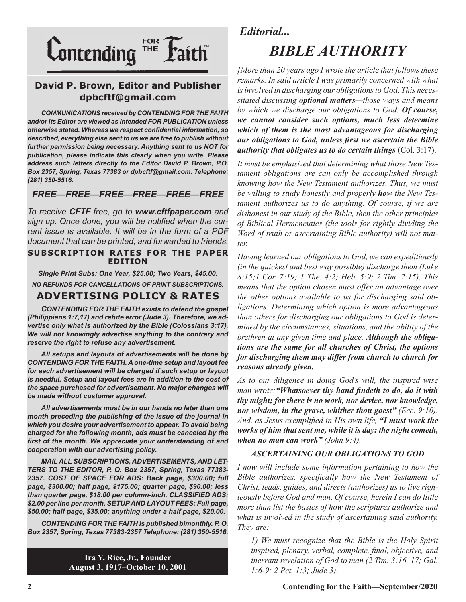

#### **David P. Brown, Editor and Publisher dpbcftf@gmail.com**

*COMMUNICATIONS received by CONTENDING FOR THE FAITH and/or its Editor are viewed as intended FOR PUBLICATION unless otherwise stated. Whereas we respect confidential information, so described, everything else sent to us we are free to publish without further permission being necessary. Anything sent to us NOT for publication, please indicate this clearly when you write. Please address such letters directly to the Editor David P. Brown, P.O. Box 2357, Spring, Texas 77383 or dpbcftf@gmail.com. Telephone: (281) 350-5516.*

#### *FREE—FREE—FREE—FREE—FREE—FREE*

*To receive CFTF free, go to www.cftfpaper.com and sign up. Once done, you will be notified when the current issue is available. It will be in the form of a PDF document that can be printed, and forwarded to friends.*

#### **SUBSCRIPTION RATES FOR THE PAPER EDITION**

*Single Print Subs: One Year, \$25.00; Two Years, \$45.00. NO REFUNDS FOR CANCELLATIONS OF PRINT SUBSCRIPTIONS.*

#### **ADVERTISING POLICY & RATES**

*CONTENDING FOR THE FAITH exists to defend the gospel (Philippians 1:7,17) and refute error (Jude 3). Therefore, we advertise only what is authorized by the Bible (Colossians 3:17). We will not knowingly advertise anything to the contrary and reserve the right to refuse any advertisement.*

*All setups and layouts of advertisements will be done by CONTENDING FOR THE FAITH. A one-time setup and layout fee for each advertisement will be charged if such setup or layout*  is needful. Setup and layout fees are in addition to the cost of *the space purchased for advertisement. No major changes will be made without customer approval.*

*All advertisements must be in our hands no later than one month preceding the publishing of the issue of the journal in which you desire your advertisement to appear. To avoid being charged for the following month, ads must be canceled by the first of the month. We appreciate your understanding of and cooperation with our advertising policy.*

*MAIL ALL SUBSCRIPTIONS, ADVERTISEMENTS, AND LET-TERS TO THE EDITOR, P. O. Box 2357, Spring, Texas 77383- 2357. COST OF SPACE FOR ADS: Back page, \$300.00; full page, \$300.00; half page, \$175.00; quarter page, \$90.00; less than quarter page, \$18.00 per column-inch. CLASSIFIED ADS: \$2.00 per line per month. SETUP AND LAYOUT FEES: Full page, \$50.00; half page, \$35.00; anything under a half page, \$20.00.*

*CONTENDING FOR THE FAITH is published bimonthly. P. O. Box 2357, Spring, Texas 77383-2357 Telephone: (281) 350-5516.*

> **Ira Y. Rice, Jr., Founder August 3, 1917–October 10, 2001**

#### *Editorial...*

# *BIBLE AUTHORITY*

*[More than 20 years ago I wrote the article that follows these remarks. In said article I was primarily concerned with what is involved in discharging our obligations to God. This necessitated discussing optional matters—those ways and means by which we discharge our obligations to God. Of course, we cannot consider such options, much less determine which of them is the most advantageous for discharging our obligations to God, unless first we ascertain the Bible authority that obligates us to do certain things* (Col. 3:17).

*It must be emphasized that determining what those New Testament obligations are can only be accomplished through knowing how the New Testament authorizes. Thus, we must be willing to study honestly and properly how the New Testament authorizes us to do anything. Of course, if we are dishonest in our study of the Bible, then the other principles of Biblical Hermeneutics (the tools for rightly dividing the Word of truth or ascertaining Bible authority) will not matter.* 

*Having learned our obligations to God, we can expeditiously (in the quickest and best way possible) discharge them (Luke 8:15;1 Cor. 7:19; 1 The. 4:2; Heb. 5:9; 2 Tim. 2:15). This means that the option chosen must offer an advantage over the other options available to us for discharging said obligations. Determining which option is more advantageous than others for discharging our obligations to God is determined by the circumstances, situations, and the ability of the brethren at any given time and place. Although the obligations are the same for all churches of Christ, the options for discharging them may differ from church to church for reasons already given.* 

*As to our diligence in doing God's will, the inspired wise man wrote:"Whatsoever thy hand findeth to do, do it with thy might; for there is no work, nor device, nor knowledge, nor wisdom, in the grave, whither thou goest" (Ecc. 9:10). And, as Jesus exemplified in His own life, "I must work the works of him that sent me, while it is day: the night cometh, when no man can work" (John 9:4).*

#### *ASCERTAINING OUR OBLIGATIONS TO GOD*

*I now will include some information pertaining to how the Bible authorizes, specifically how the New Testament of Christ, leads, guides, and directs (authorizes) us to live righteously before God and man. Of course, herein I can do little more than list the basics of how the scriptures authorize and what is involved in the study of ascertaining said authority. They are:*

*1) We must recognize that the Bible is the Holy Spirit inspired, plenary, verbal, complete, final, objective, and inerrant revelation of God to man (2 Tim. 3:16, 17; Gal. 1:6-9; 2 Pet. 1:3; Jude 3).*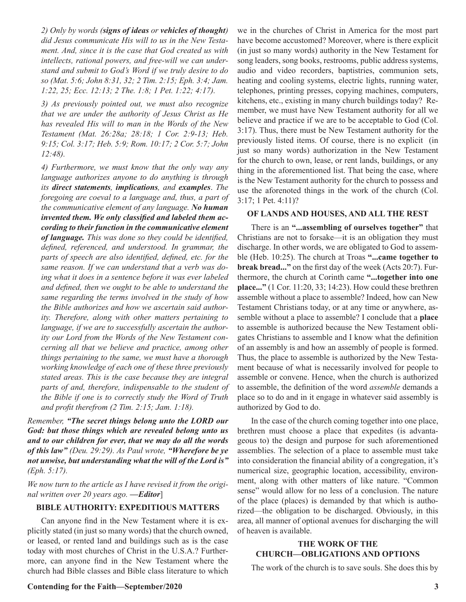*2) Only by words (signs of ideas or vehicles of thought) did Jesus communicate His will to us in the New Testament. And, since it is the case that God created us with intellects, rational powers, and free-will we can understand and submit to God's Word if we truly desire to do so (Mat. 5:6; John 8:31, 32; 2 Tim. 2:15; Eph. 3:4; Jam. 1:22, 25; Ecc. 12:13; 2 The. 1:8; 1 Pet. 1:22; 4:17).* 

*3) As previously pointed out, we must also recognize that we are under the authority of Jesus Christ as He has revealed His will to man in the Words of the New Testament (Mat. 26:28a; 28:18; 1 Cor. 2:9-13; Heb. 9:15; Col. 3:17; Heb. 5:9; Rom. 10:17; 2 Cor. 5:7; John 12:48).*

*4) Furthermore, we must know that the only way any language authorizes anyone to do anything is through its direct statements, implications, and examples*. *The foregoing are coeval to a language and, thus, a part of the communicative element of any language. No human invented them. We only classified and labeled them according to their function in the communicative element of language. This was done so they could be identified, defined, referenced, and understood. In grammar, the parts of speech are also identified, defined, etc. for the same reason. If we can understand that a verb was doing what it does in a sentence before it was ever labeled and defined, then we ought to be able to understand the same regarding the terms involved in the study of how the Bible authorizes and how we ascertain said authority. Therefore, along with other matters pertaining to language, if we are to successfully ascertain the authority our Lord from the Words of the New Testament concerning all that we believe and practice, among other things pertaining to the same, we must have a thorough working knowledge of each one of these three previously stated areas. This is the case because they are integral parts of and, therefore, indispensable to the student of the Bible if one is to correctly study the Word of Truth and profit therefrom (2 Tim. 2:15; Jam. 1:18).*

*Remember, "The secret things belong unto the LORD our God: but those things which are revealed belong unto us and to our children for ever, that we may do all the words of this law" (Deu. 29:29). As Paul wrote, "Wherefore be ye not unwise, but understanding what the will of the Lord is" (Eph. 5:17).*

*We now turn to the article as I have revised it from the original written over 20 years ago. —Editor*]

#### **BIBLE AUTHORITY: EXPEDITIOUS MATTERS**

Can anyone find in the New Testament where it is explicitly stated (in just so many words) that the church owned, or leased, or rented land and buildings such as is the case today with most churches of Christ in the U.S.A.? Furthermore, can anyone find in the New Testament where the church had Bible classes and Bible class literature to which we in the churches of Christ in America for the most part have become accustomed? Moreover, where is there explicit (in just so many words) authority in the New Testament for song leaders, song books, restrooms, public address systems, audio and video recorders, baptistries, communion sets, heating and cooling systems, electric lights, running water, telephones, printing presses, copying machines, computers, kitchens, etc., existing in many church buildings today? Remember, we must have New Testament authority for all we believe and practice if we are to be acceptable to God (Col. 3:17). Thus, there must be New Testament authority for the previously listed items. Of course, there is no explicit (in just so many words) authorization in the New Testament for the church to own, lease, or rent lands, buildings, or any thing in the aforementioned list. That being the case, where is the New Testament authority for the church to possess and use the aforenoted things in the work of the church (Col. 3:17; 1 Pet. 4:11)?

#### **OF LANDS AND HOUSES, AND ALL THE REST**

There is an **"...assembling of ourselves together"** that Christians are not to forsake—it is an obligation they must discharge. In other words, we are obligated to God to assemble (Heb. 10:25). The church at Troas **"...came together to break bread..."** on the first day of the week (Acts 20:7). Furthermore, the church at Corinth came **"...together into one place..."** (1 Cor. 11:20, 33; 14:23). How could these brethren assemble without a place to assemble? Indeed, how can New Testament Christians today, or at any time or anywhere, assemble without a place to assemble? I conclude that a **place** to assemble is authorized because the New Testament obligates Christians to assemble and I know what the definition of an assembly is and how an assembly of people is formed. Thus, the place to assemble is authorized by the New Testament because of what is necessarily involved for people to assemble or convene. Hence, when the church is authorized to assemble, the definition of the word *assemble* demands a place so to do and in it engage in whatever said assembly is authorized by God to do.

In the case of the church coming together into one place, brethren must choose a place that expedites (is advantageous to) the design and purpose for such aforementioned assemblies. The selection of a place to assemble must take into consideration the financial ability of a congregation, it's numerical size, geographic location, accessibility, environment, along with other matters of like nature. "Common sense" would allow for no less of a conclusion. The nature of the place (places) is demanded by that which is authorized—the obligation to be discharged. Obviously, in this area, all manner of optional avenues for discharging the will of heaven is available.

#### **THE WORK OF THE CHURCH—OBLIGATIONS AND OPTIONS**

The work of the church is to save souls. She does this by

#### **Contending for the Faith—September/2020 3**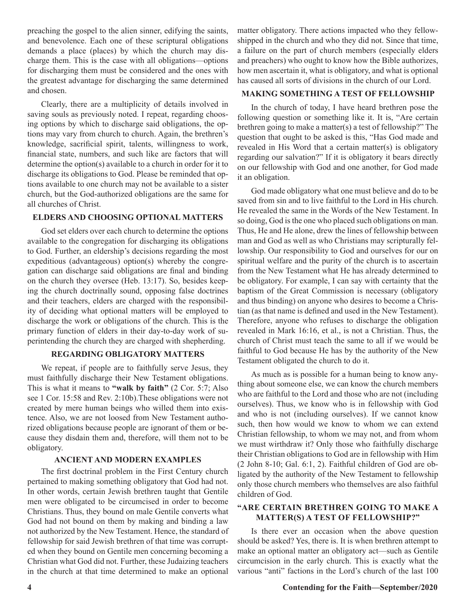preaching the gospel to the alien sinner, edifying the saints, and benevolence. Each one of these scriptural obligations demands a place (places) by which the church may discharge them. This is the case with all obligations—options for discharging them must be considered and the ones with the greatest advantage for discharging the same determined and chosen.

Clearly, there are a multiplicity of details involved in saving souls as previously noted. I repeat, regarding choosing options by which to discharge said obligations, the options may vary from church to church. Again, the brethren's knowledge, sacrificial spirit, talents, willingness to work, financial state, numbers, and such like are factors that will determine the option(s) available to a church in order for it to discharge its obligations to God. Please be reminded that options available to one church may not be available to a sister church, but the God-authorized obligations are the same for all churches of Christ.

#### **ELDERS AND CHOOSING OPTIONAL MATTERS**

God set elders over each church to determine the options available to the congregation for discharging its obligations to God. Further, an eldership's decisions regarding the most expeditious (advantageous) option(s) whereby the congregation can discharge said obligations are final and binding on the church they oversee (Heb. 13:17). So, besides keeping the church doctrinally sound, opposing false doctrines and their teachers, elders are charged with the responsibility of deciding what optional matters will be employed to discharge the work or obligations of the church. This is the primary function of elders in their day-to-day work of superintending the church they are charged with shepherding.

#### **REGARDING OBLIGATORY MATTERS**

We repeat, if people are to faithfully serve Jesus, they must faithfully discharge their New Testament obligations. This is what it means to **"walk by faith"** (2 Cor. 5:7; Also see 1 Cor. 15:58 and Rev. 2:10b).These obligations were not created by mere human beings who willed them into existence. Also, we are not loosed from New Testament authorized obligations because people are ignorant of them or because they disdain them and, therefore, will them not to be obligatory.

#### **ANCIENT AND MODERN EXAMPLES**

The first doctrinal problem in the First Century church pertained to making something obligatory that God had not. In other words, certain Jewish brethren taught that Gentile men were obligated to be circumcised in order to become Christians. Thus, they bound on male Gentile converts what God had not bound on them by making and binding a law not authorized by the New Testament. Hence, the standard of fellowship for said Jewish brethren of that time was corrupted when they bound on Gentile men concerning becoming a Christian what God did not. Further, these Judaizing teachers in the church at that time determined to make an optional

matter obligatory. There actions impacted who they fellowshipped in the church and who they did not. Since that time, a failure on the part of church members (especially elders and preachers) who ought to know how the Bible authorizes, how men ascertain it, what is obligatory, and what is optional has caused all sorts of divisions in the church of our Lord.

#### **MAKING SOMETHING A TEST OF FELLOWSHIP**

In the church of today, I have heard brethren pose the following question or something like it. It is, "Are certain brethren going to make a matter(s) a test of fellowship?" The question that ought to be asked is this, "Has God made and revealed in His Word that a certain matter(s) is obligatory regarding our salvation?" If it is obligatory it bears directly on our fellowship with God and one another, for God made it an obligation.

God made obligatory what one must believe and do to be saved from sin and to live faithful to the Lord in His church. He revealed the same in the Words of the New Testament. In so doing, God is the one who placed such obligations on man. Thus, He and He alone, drew the lines of fellowship between man and God as well as who Christians may scripturally fellowship. Our responsibility to God and ourselves for our on spiritual welfare and the purity of the church is to ascertain from the New Testament what He has already determined to be obligatory. For example, I can say with certainty that the baptism of the Great Commission is necessary (obligatory and thus binding) on anyone who desires to become a Christian (as that name is defined and used in the New Testament). Therefore, anyone who refuses to discharge the obligation revealed in Mark 16:16, et al., is not a Christian. Thus, the church of Christ must teach the same to all if we would be faithful to God because He has by the authority of the New Testament obligated the church to do it.

As much as is possible for a human being to know anything about someone else, we can know the church members who are faithful to the Lord and those who are not (including ourselves). Thus, we know who is in fellowship with God and who is not (including ourselves). If we cannot know such, then how would we know to whom we can extend Christian fellowship, to whom we may not, and from whom we must wirthdraw it? Only those who faithfully discharge their Christian obligations to God are in fellowship with Him (2 John 8-10; Gal. 6:1, 2). Faithful children of God are obligated by the authority of the New Testament to fellowship only those church members who themselves are also faithful children of God.

#### **"ARE CERTAIN BRETHREN GOING TO MAKE A MATTER(S) A TEST OF FELLOWSHIP?"**

Is there ever an occasion when the above question should be asked? Yes, there is. It is when brethren attempt to make an optional matter an obligatory act—such as Gentile circumcision in the early church. This is exactly what the various "anti" factions in the Lord's church of the last 100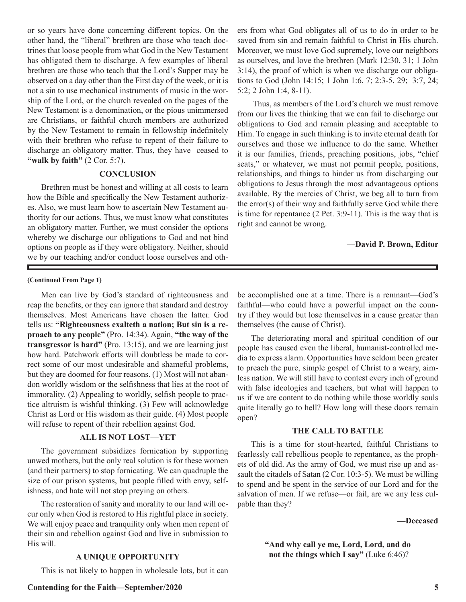or so years have done concerning different topics. On the other hand, the "liberal" brethren are those who teach doctrines that loose people from what God in the New Testament has obligated them to discharge. A few examples of liberal brethren are those who teach that the Lord's Supper may be observed on a day other than the First day of the week, or it is not a sin to use mechanical instruments of music in the worship of the Lord, or the church revealed on the pages of the New Testament is a denomination, or the pious unimmersed are Christians, or faithful church members are authorized by the New Testament to remain in fellowship indefinitely with their brethren who refuse to repent of their failure to discharge an obligatory matter. Thus, they have ceased to **"walk by faith"** (2 Cor. 5:7).

#### **CONCLUSION**

Brethren must be honest and willing at all costs to learn how the Bible and specifically the New Testament authorizes. Also, we must learn how to ascertain New Testament authority for our actions. Thus, we must know what constitutes an obligatory matter. Further, we must consider the options whereby we discharge our obligations to God and not bind options on people as if they were obligatory. Neither, should we by our teaching and/or conduct loose ourselves and others from what God obligates all of us to do in order to be saved from sin and remain faithful to Christ in His church. Moreover, we must love God supremely, love our neighbors as ourselves, and love the brethren (Mark 12:30, 31; 1 John 3:14), the proof of which is when we discharge our obligations to God (John 14:15; 1 John 1:6, 7; 2:3-5, 29; 3:7, 24; 5:2; 2 John 1:4, 8-11).

 Thus, as members of the Lord's church we must remove from our lives the thinking that we can fail to discharge our obligations to God and remain pleasing and acceptable to Him. To engage in such thinking is to invite eternal death for ourselves and those we influence to do the same. Whether it is our families, friends, preaching positions, jobs, "chief seats," or whatever, we must not permit people, positions, relationships, and things to hinder us from discharging our obligations to Jesus through the most advantageous options available. By the mercies of Christ, we beg all to turn from the error(s) of their way and faithfully serve God while there is time for repentance (2 Pet. 3:9-11). This is the way that is right and cannot be wrong.

**—David P. Brown, Editor**

#### **(Continued From Page 1)**

Men can live by God's standard of righteousness and reap the benefits, or they can ignore that standard and destroy themselves. Most Americans have chosen the latter. God tells us: **"Righteousness exalteth a nation; But sin is a reproach to any people"** (Pro. 14:34). Again, **"the way of the transgressor is hard"** (Pro. 13:15), and we are learning just how hard. Patchwork efforts will doubtless be made to correct some of our most undesirable and shameful problems, but they are doomed for four reasons. (1) Most will not abandon worldly wisdom or the selfishness that lies at the root of immorality. (2) Appealing to worldly, selfish people to practice altruism is wishful thinking. (3) Few will acknowledge Christ as Lord or His wisdom as their guide. (4) Most people will refuse to repent of their rebellion against God.

#### **ALL IS NOT LOST—YET**

The government subsidizes fornication by supporting unwed mothers, but the only real solution is for these women (and their partners) to stop fornicating. We can quadruple the size of our prison systems, but people filled with envy, selfishness, and hate will not stop preying on others.

The restoration of sanity and morality to our land will occur only when God is restored to His rightful place in society. We will enjoy peace and tranquility only when men repent of their sin and rebellion against God and live in submission to His will.

#### **A UNIQUE OPPORTUNITY**

This is not likely to happen in wholesale lots, but it can

be accomplished one at a time. There is a remnant—God's faithful—who could have a powerful impact on the country if they would but lose themselves in a cause greater than themselves (the cause of Christ).

The deteriorating moral and spiritual condition of our people has caused even the liberal, humanist-controlled media to express alarm. Opportunities have seldom been greater to preach the pure, simple gospel of Christ to a weary, aimless nation. We will still have to contest every inch of ground with false ideologies and teachers, but what will happen to us if we are content to do nothing while those worldly souls quite literally go to hell? How long will these doors remain open?

#### **THE CALL TO BATTLE**

This is a time for stout-hearted, faithful Christians to fearlessly call rebellious people to repentance, as the prophets of old did. As the army of God, we must rise up and assault the citadels of Satan (2 Cor. 10:3-5). We must be willing to spend and be spent in the service of our Lord and for the salvation of men. If we refuse—or fail, are we any less culpable than they?

**—Deceased**

**"And why call ye me, Lord, Lord, and do not the things which I say"** (Luke 6:46)?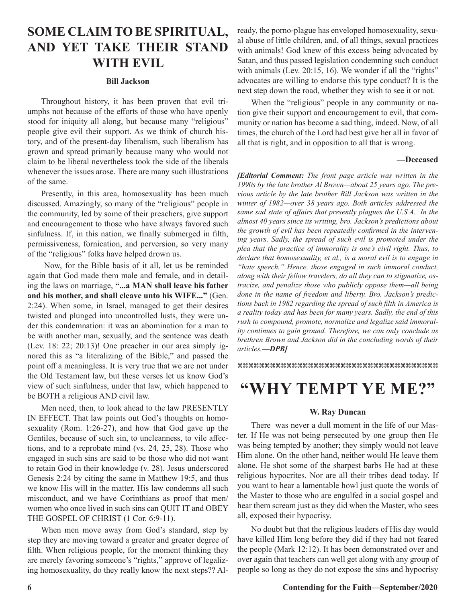### **SOME CLAIM TO BE SPIRITUAL, AND YET TAKE THEIR STAND WITH EVIL**

#### **Bill Jackson**

Throughout history, it has been proven that evil triumphs not because of the efforts of those who have openly stood for iniquity all along, but because many "religious" people give evil their support. As we think of church history, and of the present-day liberalism, such liberalism has grown and spread primarily because many who would not claim to be liberal nevertheless took the side of the liberals whenever the issues arose. There are many such illustrations of the same.

Presently, in this area, homosexuality has been much discussed. Amazingly, so many of the "religious" people in the community, led by some of their preachers, give support and encouragement to those who have always favored such sinfulness. If, in this nation, we finally submerged in filth, permissiveness, fornication, and perversion, so very many of the "religious" folks have helped drown us.

 Now, for the Bible basis of it all, let us be reminded again that God made them male and female, and in detailing the laws on marriage, **"...a MAN shall leave his father and his mother, and shall cleave unto his WIFE..."** (Gen. 2:24). When some, in Israel, managed to get their desires twisted and plunged into uncontrolled lusts, they were under this condemnation: it was an abomination for a man to be with another man, sexually, and the sentence was death (Lev. 18: 22; 20:13)! One preacher in our area simply ignored this as "a literalizing of the Bible," and passed the point off a meaningless. It is very true that we are not under the Old Testament law, but these verses let us know God's view of such sinfulness, under that law, which happened to be BOTH a religious AND civil law.

Men need, then, to look ahead to the law PRESENTLY IN EFFECT. That law points out God's thoughts on homosexuality (Rom. 1:26-27), and how that God gave up the Gentiles, because of such sin, to uncleanness, to vile affections, and to a reprobate mind (vs. 24, 25, 28). Those who engaged in such sins are said to be those who did not want to retain God in their knowledge (v. 28). Jesus underscored Genesis 2:24 by citing the same in Matthew 19:5, and thus we know His will in the matter. His law condemns all such misconduct, and we have Corinthians as proof that men/ women who once lived in such sins can QUIT IT and OBEY THE GOSPEL OF CHRIST (1 Cor. 6:9-11).

When men move away from God's standard, step by step they are moving toward a greater and greater degree of filth. When religious people, for the moment thinking they are merely favoring someone's "rights," approve of legalizing homosexuality, do they really know the next steps?? Already, the porno-plague has enveloped homosexuality, sexual abuse of little children, and, of all things, sexual practices with animals! God knew of this excess being advocated by Satan, and thus passed legislation condemning such conduct with animals (Lev. 20:15, 16). We wonder if all the "rights" advocates are willing to endorse this type conduct? It is the next step down the road, whether they wish to see it or not.

When the "religious" people in any community or nation give their support and encouragement to evil, that community or nation has become a sad thing, indeed. Now, of all times, the church of the Lord had best give her all in favor of all that is right, and in opposition to all that is wrong.

#### **—Deceased**

*[Editorial Comment: The front page article was written in the 1990s by the late brother Al Brown—about 25 years ago. The previous article by the late brother Bill Jackson was written in the winter of 1982—over 38 years ago. Both articles addressed the same sad state of affairs that presently plagues the U.S.A. In the almost 40 years since its writing, bro. Jackson's predictions about the growth of evil has been repeatedly confirmed in the intervening years. Sadly, the spread of such evil is promoted under the plea that the practice of immorality is one's civil right. Thus, to declare that homosexuality, et al., is a moral evil is to engage in "hate speech." Hence, those engaged in such immoral conduct, along with their fellow travelers, do all they can to stigmatize, ostracize, and penalize those who publicly oppose them—all being done in the name of freedom and liberty. Bro. Jackson's predictions back in 1982 regarding the spread of such filth in America is a reality today and has been for many years. Sadly, the end of this rush to compound, promote, normalize and legalize said immorality continues to gain ground. Therefore, we can only conclude as brethren Brown and Jackson did in the concluding words of their articles.—DPB]*

 $\mathcal{X}$ 

# **"WHY TEMPT YE ME?"**

#### **W. Ray Duncan**

There was never a dull moment in the life of our Master. If He was not being persecuted by one group then He was being tempted by another; they simply would not leave Him alone. On the other hand, neither would He leave them alone. He shot some of the sharpest barbs He had at these religious hypocrites. Nor are all their tribes dead today. If you want to hear a lamentable howl just quote the words of the Master to those who are engulfed in a social gospel and hear them scream just as they did when the Master, who sees all, exposed their hypocrisy.

No doubt but that the religious leaders of His day would have killed Him long before they did if they had not feared the people (Mark 12:12). It has been demonstrated over and over again that teachers can well get along with any group of people so long as they do not expose the sins and hypocrisy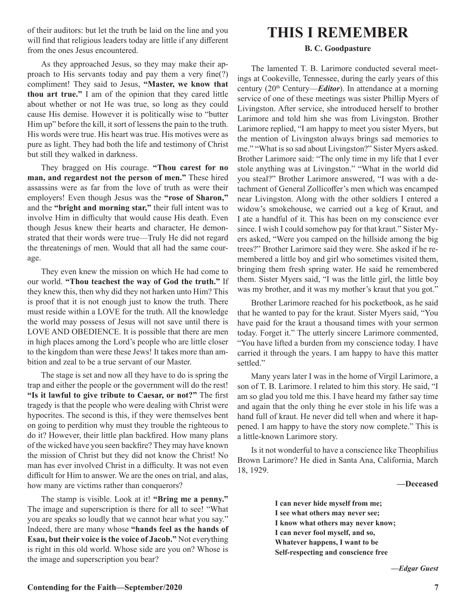of their auditors: but let the truth be laid on the line and you will find that religious leaders today are little if any different from the ones Jesus encountered.

As they approached Jesus, so they may make their approach to His servants today and pay them a very fine(?) compliment! They said to Jesus, **"Master, we know that thou art true."** I am of the opinion that they cared little about whether or not He was true, so long as they could cause His demise. However it is politically wise to "butter Him up" before the kill, it sort of lessens the pain to the truth. His words were true. His heart was true. His motives were as pure as light. They had both the life and testimony of Christ but still they walked in darkness.

They bragged on His courage. **"Thou carest for no man, and regardest not the person of men."** These hired assassins were as far from the love of truth as were their employers! Even though Jesus was the **"rose of Sharon,"** and the **"bright and morning star,"** their full intent was to involve Him in difficulty that would cause His death. Even though Jesus knew their hearts and character, He demonstrated that their words were true—Truly He did not regard the threatenings of men. Would that all had the same courage.

They even knew the mission on which He had come to our world. **"Thou teachest the way of God the truth."** If they knew this, then why did they not harken unto Him? This is proof that it is not enough just to know the truth. There must reside within a LOVE for the truth. All the knowledge the world may possess of Jesus will not save until there is LOVE AND OBEDIENCE. It is possible that there are men in high places among the Lord's people who are little closer to the kingdom than were these Jews! It takes more than ambition and zeal to be a true servant of our Master.

The stage is set and now all they have to do is spring the trap and either the people or the government will do the rest! **"Is it lawful to give tribute to Caesar, or not?"** The first tragedy is that the people who were dealing with Christ were hypocrites. The second is this, if they were themselves bent on going to perdition why must they trouble the righteous to do it? However, their little plan backfired. How many plans of the wicked have you seen backfire? They may have known the mission of Christ but they did not know the Christ! No man has ever involved Christ in a difficulty. It was not even difficult for Him to answer. We are the ones on trial, and alas, how many are victims rather than conquerors?

The stamp is visible. Look at it! **"Bring me a penny."**  The image and superscription is there for all to see! "What you are speaks so loudly that we cannot hear what you say." Indeed, there are many whose **"hands feel as the hands of Esau, but their voice is the voice of Jacob."** Not everything is right in this old world. Whose side are you on? Whose is the image and superscription you bear?

## **THIS I REMEMBER**

#### **B. C. Goodpasture**

The lamented T. B. Larimore conducted several meetings at Cookeville, Tennessee, during the early years of this century (20<sup>th</sup> Century—*Editor*). In attendance at a morning service of one of these meetings was sister Phillip Myers of Livingston. After service, she introduced herself to brother Larimore and told him she was from Livingston. Brother Larimore replied, "I am happy to meet you sister Myers, but the mention of Livingston always brings sad memories to me." "What is so sad about Livingston?" Sister Myers asked. Brother Larimore said: "The only time in my life that I ever stole anything was at Livingston." "What in the world did you steal?" Brother Larimore answered, "I was with a detachment of General Zollicoffer's men which was encamped near Livingston. Along with the other soldiers I entered a widow's smokehouse, we carried out a keg of Kraut, and I ate a handful of it. This has been on my conscience ever since. I wish I could somehow pay for that kraut." Sister Myers asked, "Were you camped on the hillside among the big trees?" Brother Larimore said they were. She asked if he remembered a little boy and girl who sometimes visited them, bringing them fresh spring water. He said he remembered them. Sister Myers said, "I was the little girl, the little boy was my brother, and it was my mother's kraut that you got."

Brother Larimore reached for his pocketbook, as he said that he wanted to pay for the kraut. Sister Myers said, "You have paid for the kraut a thousand times with your sermon today. Forget it." The utterly sincere Larimore commented, "You have lifted a burden from my conscience today. I have carried it through the years. I am happy to have this matter settled."

Many years later I was in the home of Virgil Larimore, a son of T. B. Larimore. I related to him this story. He said, "I am so glad you told me this. I have heard my father say time and again that the only thing he ever stole in his life was a hand full of kraut. He never did tell when and where it happened. I am happy to have the story now complete." This is a little-known Larimore story.

Is it not wonderful to have a conscience like Theophilius Brown Larimore? He died in Santa Ana, California, March 18, 1929.

**—Deceased**

**I can never hide myself from me; I see what others may never see; I know what others may never know; I can never fool myself, and so, Whatever happens, I want to be Self-respecting and conscience free**